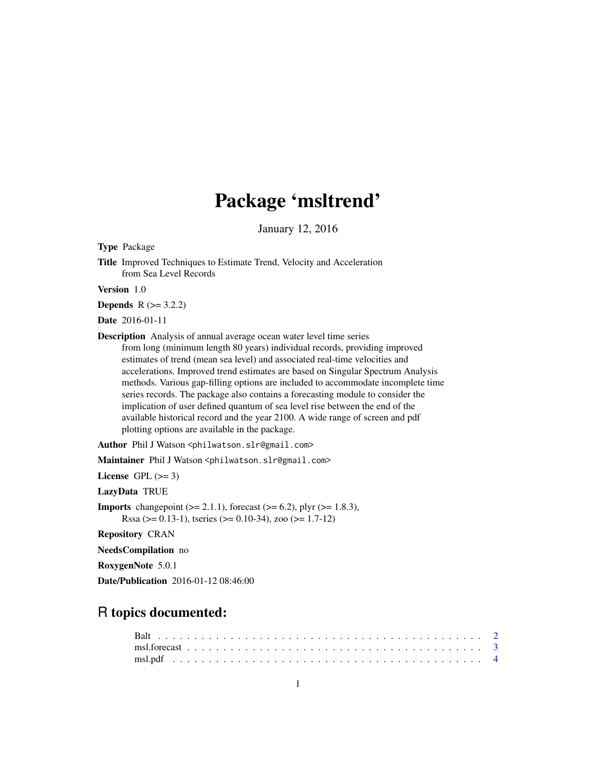# Package 'msltrend'

January 12, 2016

<span id="page-0-0"></span>Type Package

Title Improved Techniques to Estimate Trend, Velocity and Acceleration from Sea Level Records

Version 1.0

**Depends**  $R (= 3.2.2)$ 

Date 2016-01-11

Description Analysis of annual average ocean water level time series from long (minimum length 80 years) individual records, providing improved estimates of trend (mean sea level) and associated real-time velocities and accelerations. Improved trend estimates are based on Singular Spectrum Analysis methods. Various gap-filling options are included to accommodate incomplete time series records. The package also contains a forecasting module to consider the implication of user defined quantum of sea level rise between the end of the available historical record and the year 2100. A wide range of screen and pdf plotting options are available in the package.

Author Phil J Watson <philwatson.slr@gmail.com>

Maintainer Phil J Watson <philwatson.slr@gmail.com>

License GPL  $(>= 3)$ 

LazyData TRUE

**Imports** changepoint  $(>= 2.1.1)$ , forecast  $(>= 6.2)$ , plyr  $(>= 1.8.3)$ , Rssa ( $> = 0.13-1$ ), tseries ( $> = 0.10-34$ ), zoo ( $> = 1.7-12$ )

Repository CRAN

NeedsCompilation no

RoxygenNote 5.0.1

Date/Publication 2016-01-12 08:46:00

# R topics documented: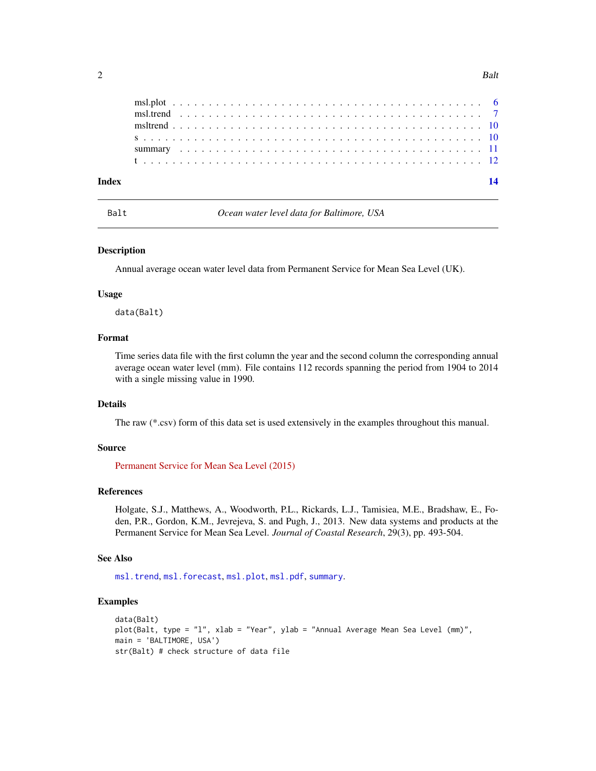<span id="page-1-0"></span>

| Index |  |  |  |  |  |  |  |  |  |  |  |  |  |  |  |  |  |  |  |  |  |
|-------|--|--|--|--|--|--|--|--|--|--|--|--|--|--|--|--|--|--|--|--|--|
|       |  |  |  |  |  |  |  |  |  |  |  |  |  |  |  |  |  |  |  |  |  |
|       |  |  |  |  |  |  |  |  |  |  |  |  |  |  |  |  |  |  |  |  |  |
|       |  |  |  |  |  |  |  |  |  |  |  |  |  |  |  |  |  |  |  |  |  |
|       |  |  |  |  |  |  |  |  |  |  |  |  |  |  |  |  |  |  |  |  |  |

<span id="page-1-1"></span>Balt *Ocean water level data for Baltimore, USA*

#### Description

Annual average ocean water level data from Permanent Service for Mean Sea Level (UK).

#### Usage

data(Balt)

#### Format

Time series data file with the first column the year and the second column the corresponding annual average ocean water level (mm). File contains 112 records spanning the period from 1904 to 2014 with a single missing value in 1990.

#### Details

The raw (\*.csv) form of this data set is used extensively in the examples throughout this manual.

#### Source

[Permanent Service for Mean Sea Level \(2015\)](http://www.psmsl.org/data/obtaining/map.html)

#### References

Holgate, S.J., Matthews, A., Woodworth, P.L., Rickards, L.J., Tamisiea, M.E., Bradshaw, E., Foden, P.R., Gordon, K.M., Jevrejeva, S. and Pugh, J., 2013. New data systems and products at the Permanent Service for Mean Sea Level. *Journal of Coastal Research*, 29(3), pp. 493-504.

#### See Also

[msl.trend](#page-6-1), [msl.forecast](#page-2-1), [msl.plot](#page-5-1), [msl.pdf](#page-3-1), [summary](#page-10-1).

#### Examples

```
data(Balt)
plot(Balt, type = "l", xlab = "Year", ylab = "Annual Average Mean Sea Level (mm)",
main = 'BALTIMORE, USA')
str(Balt) # check structure of data file
```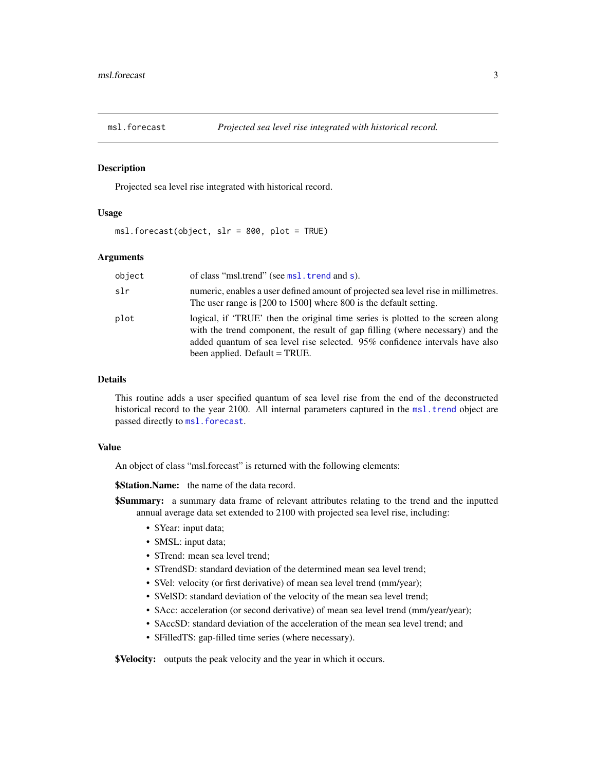<span id="page-2-1"></span><span id="page-2-0"></span>

#### Description

Projected sea level rise integrated with historical record.

#### Usage

msl.forecast(object, slr = 800, plot = TRUE)

### Arguments

| object | of class "msl.trend" (see msl.trend and s).                                                                                                                                                                                                                                       |
|--------|-----------------------------------------------------------------------------------------------------------------------------------------------------------------------------------------------------------------------------------------------------------------------------------|
| slr    | numeric, enables a user defined amount of projected sea level rise in millimetres.<br>The user range is [200 to 1500] where 800 is the default setting.                                                                                                                           |
| plot   | logical, if 'TRUE' then the original time series is plotted to the screen along<br>with the trend component, the result of gap filling (where necessary) and the<br>added quantum of sea level rise selected. 95% confidence intervals have also<br>been applied. Default = TRUE. |

#### Details

This routine adds a user specified quantum of sea level rise from the end of the deconstructed historical record to the year 2100. All internal parameters captured in the [msl.trend](#page-6-1) object are passed directly to [msl.forecast](#page-2-1).

#### Value

An object of class "msl.forecast" is returned with the following elements:

**\$Station.Name:** the name of the data record.

- **\$Summary:** a summary data frame of relevant attributes relating to the trend and the inputted annual average data set extended to 2100 with projected sea level rise, including:
	- \$Year: input data;
	- \$MSL: input data;
	- \$Trend: mean sea level trend:
	- \$TrendSD: standard deviation of the determined mean sea level trend;
	- \$Vel: velocity (or first derivative) of mean sea level trend (mm/year);
	- \$VelSD: standard deviation of the velocity of the mean sea level trend;
	- \$Acc: acceleration (or second derivative) of mean sea level trend (mm/year/year);
	- \$AccSD: standard deviation of the acceleration of the mean sea level trend; and
	- \$FilledTS: gap-filled time series (where necessary).

**\$Velocity:** outputs the peak velocity and the year in which it occurs.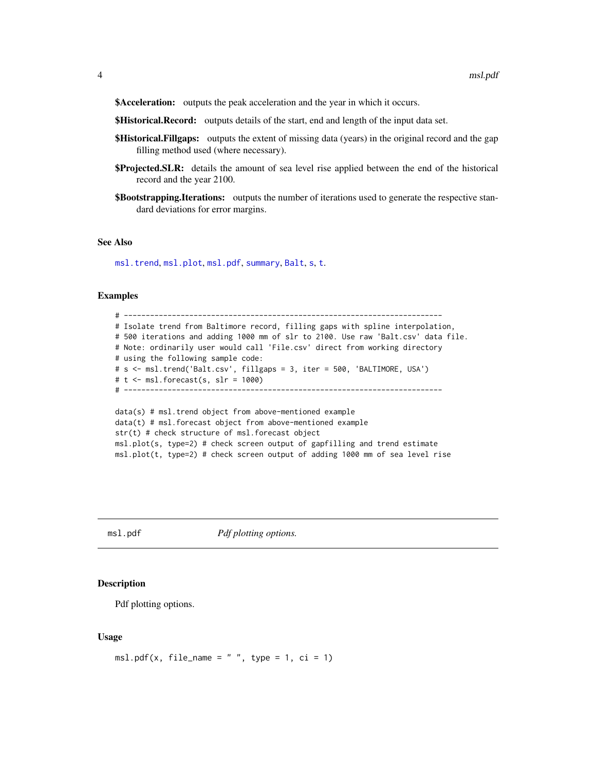<span id="page-3-0"></span>\$Acceleration: outputs the peak acceleration and the year in which it occurs.

**\$Historical.Record:** outputs details of the start, end and length of the input data set.

- **\$Historical.Fillgaps:** outputs the extent of missing data (years) in the original record and the gap filling method used (where necessary).
- **\$Projected.SLR:** details the amount of sea level rise applied between the end of the historical record and the year 2100.
- **\$Bootstrapping.Iterations:** outputs the number of iterations used to generate the respective standard deviations for error margins.

#### See Also

[msl.trend](#page-6-1), [msl.plot](#page-5-1), [msl.pdf](#page-3-1), [summary](#page-10-1), [Balt](#page-1-1), [s](#page-9-1), [t](#page-11-1).

#### Examples

```
# -------------------------------------------------------------------------
# Isolate trend from Baltimore record, filling gaps with spline interpolation,
# 500 iterations and adding 1000 mm of slr to 2100. Use raw 'Balt.csv' data file.
# Note: ordinarily user would call 'File.csv' direct from working directory
# using the following sample code:
# s <- msl.trend('Balt.csv', fillgaps = 3, iter = 500, 'BALTIMORE, USA')
# t <- msl.forecast(s, slr = 1000)
# -------------------------------------------------------------------------
data(s) # msl.trend object from above-mentioned example
data(t) # msl.forecast object from above-mentioned example
```
str(t) # check structure of msl.forecast object msl.plot(s, type=2) # check screen output of gapfilling and trend estimate msl.plot(t, type=2) # check screen output of adding 1000 mm of sea level rise

<span id="page-3-1"></span>msl.pdf *Pdf plotting options.*

#### Description

Pdf plotting options.

#### Usage

```
msl.pdf(x, file_name = " " , type = 1, ci = 1)
```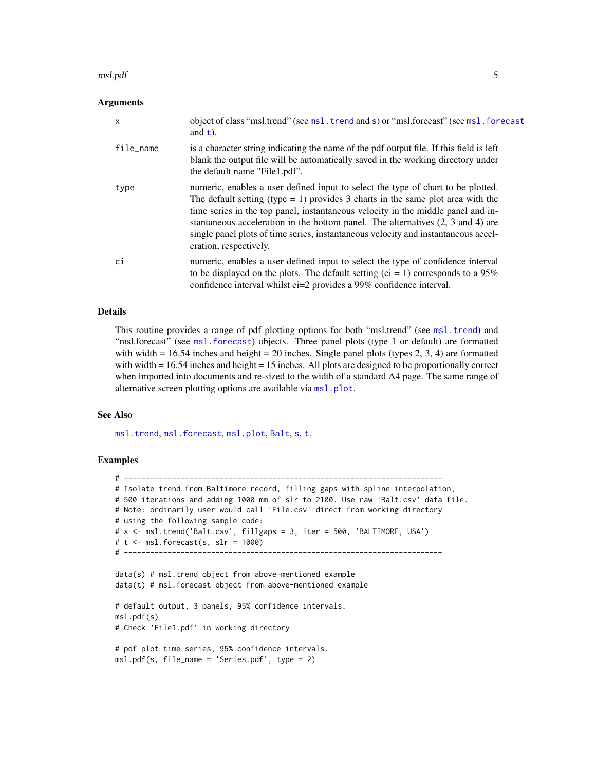#### <span id="page-4-0"></span>msl.pdf 5

#### Arguments

| $\times$  | object of class "msl.trend" (see msl.trend and s) or "msl.forecast" (see msl.forecast<br>and $t$ ).                                                                                                                                                                                                                                                                                                                                                                   |
|-----------|-----------------------------------------------------------------------------------------------------------------------------------------------------------------------------------------------------------------------------------------------------------------------------------------------------------------------------------------------------------------------------------------------------------------------------------------------------------------------|
| file_name | is a character string indicating the name of the pdf output file. If this field is left<br>blank the output file will be automatically saved in the working directory under<br>the default name "File1.pdf".                                                                                                                                                                                                                                                          |
| type      | numeric, enables a user defined input to select the type of chart to be plotted.<br>The default setting (type = 1) provides 3 charts in the same plot area with the<br>time series in the top panel, instantaneous velocity in the middle panel and in-<br>stantaneous acceleration in the bottom panel. The alternatives $(2, 3 \text{ and } 4)$ are<br>single panel plots of time series, instantaneous velocity and instantaneous accel-<br>eration, respectively. |
| ci        | numeric, enables a user defined input to select the type of confidence interval<br>to be displayed on the plots. The default setting (ci = 1) corresponds to a $95\%$<br>confidence interval whilst ci=2 provides a 99% confidence interval.                                                                                                                                                                                                                          |

#### Details

This routine provides a range of pdf plotting options for both "msl.trend" (see [msl.trend](#page-6-1)) and "[msl.forecast](#page-2-1)" (see msl.forecast) objects. Three panel plots (type 1 or default) are formatted with width  $= 16.54$  inches and height  $= 20$  inches. Single panel plots (types 2, 3, 4) are formatted with width = 16.54 inches and height = 15 inches. All plots are designed to be proportionally correct when imported into documents and re-sized to the width of a standard A4 page. The same range of alternative screen plotting options are available via [msl.plot](#page-5-1).

#### See Also

[msl.trend](#page-6-1), [msl.forecast](#page-2-1), [msl.plot](#page-5-1), [Balt](#page-1-1), [s](#page-9-1), [t](#page-11-1).

#### Examples

```
# -------------------------------------------------------------------------
# Isolate trend from Baltimore record, filling gaps with spline interpolation,
# 500 iterations and adding 1000 mm of slr to 2100. Use raw 'Balt.csv' data file.
# Note: ordinarily user would call 'File.csv' direct from working directory
# using the following sample code:
# s <- msl.trend('Balt.csv', fillgaps = 3, iter = 500, 'BALTIMORE, USA')
# t <- msl.forecast(s, slr = 1000)
# -------------------------------------------------------------------------
data(s) # msl.trend object from above-mentioned example
data(t) # msl.forecast object from above-mentioned example
# default output, 3 panels, 95% confidence intervals.
msl.pdf(s)
# Check 'File1.pdf' in working directory
# pdf plot time series, 95% confidence intervals.
msl.pdf(s, file_name = 'Series.pdf', type = 2)
```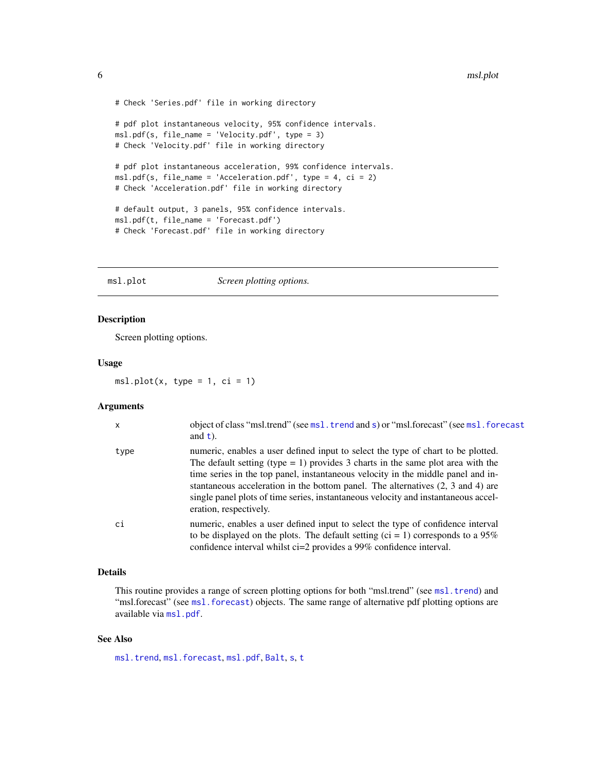```
# Check 'Series.pdf' file in working directory
# pdf plot instantaneous velocity, 95% confidence intervals.
msl.pdf(s, file_name = 'Velocity.pdf', type = 3)
# Check 'Velocity.pdf' file in working directory
# pdf plot instantaneous acceleration, 99% confidence intervals.
msl.pdf(s, file_name = 'Acceleration.pdf', type = 4, ci = 2)
# Check 'Acceleration.pdf' file in working directory
# default output, 3 panels, 95% confidence intervals.
msl.pdf(t, file_name = 'Forecast.pdf')
# Check 'Forecast.pdf' file in working directory
```
<span id="page-5-1"></span>msl.plot *Screen plotting options.* 

#### Description

Screen plotting options.

#### Usage

 $msl.plot(x, type = 1, ci = 1)$ 

#### Arguments

| x    | object of class "msl.trend" (see msl.trend and s) or "msl.forecast" (see msl.forecast<br>and $t$ ).                                                                                                                                                                                                                                                                                                                                                                      |
|------|--------------------------------------------------------------------------------------------------------------------------------------------------------------------------------------------------------------------------------------------------------------------------------------------------------------------------------------------------------------------------------------------------------------------------------------------------------------------------|
| type | numeric, enables a user defined input to select the type of chart to be plotted.<br>The default setting (type $= 1$ ) provides 3 charts in the same plot area with the<br>time series in the top panel, instantaneous velocity in the middle panel and in-<br>stantaneous acceleration in the bottom panel. The alternatives $(2, 3 \text{ and } 4)$ are<br>single panel plots of time series, instantaneous velocity and instantaneous accel-<br>eration, respectively. |
| C1   | numeric, enables a user defined input to select the type of confidence interval<br>to be displayed on the plots. The default setting (ci = 1) corresponds to a $95\%$<br>confidence interval whilst ci=2 provides a 99% confidence interval.                                                                                                                                                                                                                             |

#### Details

This routine provides a range of screen plotting options for both "msl.trend" (see [msl.trend](#page-6-1)) and "[msl.forecast](#page-2-1)" (see msl. forecast) objects. The same range of alternative pdf plotting options are available via [msl.pdf](#page-3-1).

#### See Also

[msl.trend](#page-6-1), [msl.forecast](#page-2-1), [msl.pdf](#page-3-1), [Balt](#page-1-1), [s](#page-9-1), [t](#page-11-1)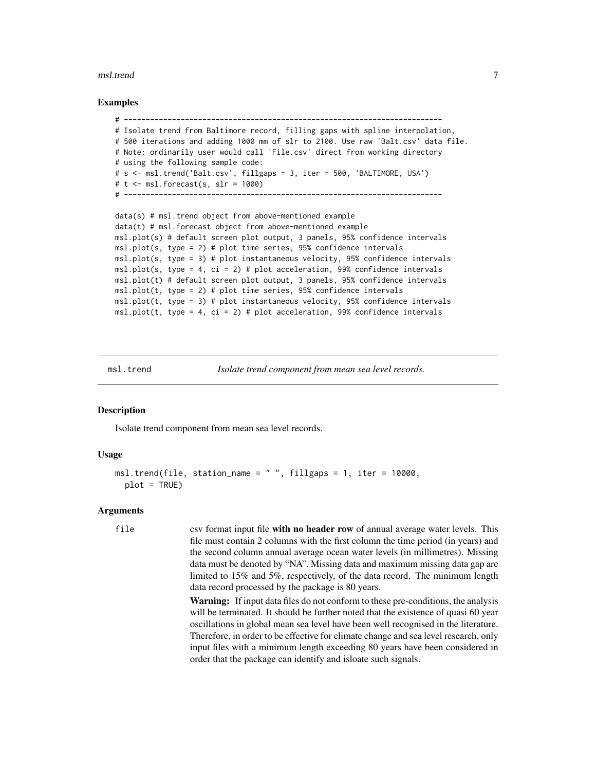#### <span id="page-6-0"></span>msl.trend 7

#### Examples

```
# -------------------------------------------------------------------------
# Isolate trend from Baltimore record, filling gaps with spline interpolation,
# 500 iterations and adding 1000 mm of slr to 2100. Use raw 'Balt.csv' data file.
# Note: ordinarily user would call 'File.csv' direct from working directory
# using the following sample code:
# s <- msl.trend('Balt.csv', fillgaps = 3, iter = 500, 'BALTIMORE, USA')
# t <- msl.forecast(s, slr = 1000)
# -------------------------------------------------------------------------
```

```
data(s) # msl.trend object from above-mentioned example
data(t) # msl.forecast object from above-mentioned example
msl.plot(s) # default screen plot output, 3 panels, 95% confidence intervals
msl.plot(s, type = 2) # plot time series, 95% confidence intervals
msl.plot(s, type = 3) # plot instantaneous velocity, 95% confidence intervals
msl.plot(s, type = 4, ci = 2) # plot acceleration, 99% confidence intervals
msl.plot(t) # default screen plot output, 3 panels, 95% confidence intervals
msl.plot(t, type = 2) # plot time series, 95% confidence intervals
msl.plot(t, type = 3) # plot instantaneous velocity, 95% confidence intervals
msl.plot(t, type = 4, ci = 2) # plot acceleration, 99% confidence intervals
```
<span id="page-6-1"></span>

msl.trend *Isolate trend component from mean sea level records.*

#### **Description**

Isolate trend component from mean sea level records.

#### Usage

```
msl.trend(file, station_name = " ", fillgaps = 1, iter = 10000,
 plot = TRUE)
```
#### Arguments

```
file csv format input file with no header row of annual average water levels. This
                  file must contain 2 columns with the first column the time period (in years) and
                  the second column annual average ocean water levels (in millimetres). Missing
                  data must be denoted by "NA". Missing data and maximum missing data gap are
                  limited to 15% and 5%, respectively, of the data record. The minimum length
                  data record processed by the package is 80 years.
```
Warning: If input data files do not conform to these pre-conditions, the analysis will be terminated. It should be further noted that the existence of quasi 60 year oscillations in global mean sea level have been well recognised in the literature. Therefore, in order to be effective for climate change and sea level research, only input files with a minimum length exceeding 80 years have been considered in order that the package can identify and isloate such signals.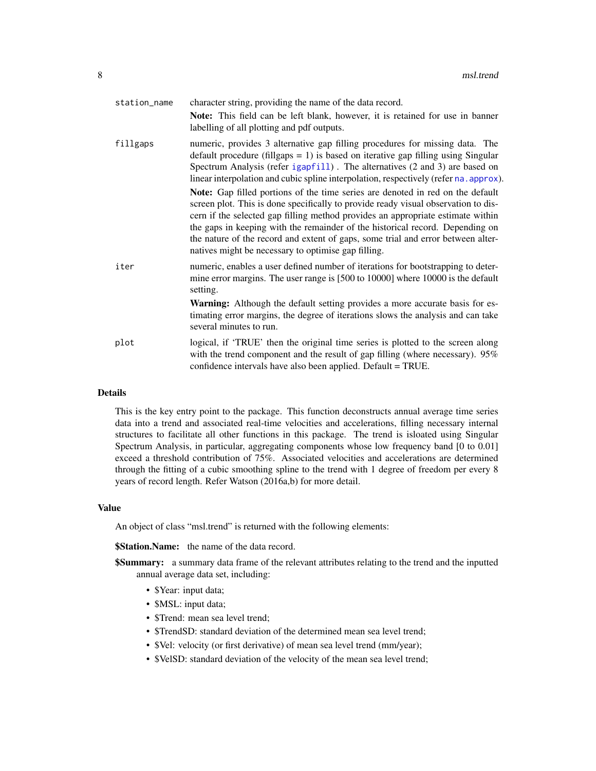<span id="page-7-0"></span>

| station_name | character string, providing the name of the data record.                                                                                                                                                                                                                                                                                                                                                                                                                            |
|--------------|-------------------------------------------------------------------------------------------------------------------------------------------------------------------------------------------------------------------------------------------------------------------------------------------------------------------------------------------------------------------------------------------------------------------------------------------------------------------------------------|
|              | <b>Note:</b> This field can be left blank, however, it is retained for use in banner<br>labelling of all plotting and pdf outputs.                                                                                                                                                                                                                                                                                                                                                  |
| fillgaps     | numeric, provides 3 alternative gap filling procedures for missing data. The<br>default procedure (fillgaps = 1) is based on iterative gap filling using Singular<br>Spectrum Analysis (refer igapfill). The alternatives (2 and 3) are based on<br>linear interpolation and cubic spline interpolation, respectively (refer na. approx).                                                                                                                                           |
|              | Note: Gap filled portions of the time series are denoted in red on the default<br>screen plot. This is done specifically to provide ready visual observation to dis-<br>cern if the selected gap filling method provides an appropriate estimate within<br>the gaps in keeping with the remainder of the historical record. Depending on<br>the nature of the record and extent of gaps, some trial and error between alter-<br>natives might be necessary to optimise gap filling. |
| iter         | numeric, enables a user defined number of iterations for bootstrapping to deter-<br>mine error margins. The user range is [500 to 10000] where 10000 is the default<br>setting.                                                                                                                                                                                                                                                                                                     |
|              | Warning: Although the default setting provides a more accurate basis for es-<br>timating error margins, the degree of iterations slows the analysis and can take<br>several minutes to run.                                                                                                                                                                                                                                                                                         |
| plot         | logical, if 'TRUE' then the original time series is plotted to the screen along<br>with the trend component and the result of gap filling (where necessary). 95%<br>confidence intervals have also been applied. Default = TRUE.                                                                                                                                                                                                                                                    |

#### Details

This is the key entry point to the package. This function deconstructs annual average time series data into a trend and associated real-time velocities and accelerations, filling necessary internal structures to facilitate all other functions in this package. The trend is isloated using Singular Spectrum Analysis, in particular, aggregating components whose low frequency band [0 to 0.01] exceed a threshold contribution of 75%. Associated velocities and accelerations are determined through the fitting of a cubic smoothing spline to the trend with 1 degree of freedom per every 8 years of record length. Refer Watson (2016a,b) for more detail.

#### Value

An object of class "msl.trend" is returned with the following elements:

**\$Station.Name:** the name of the data record.

- **\$Summary:** a summary data frame of the relevant attributes relating to the trend and the inputted annual average data set, including:
	- \$Year: input data;
	- \$MSL: input data;
	- \$Trend: mean sea level trend;
	- \$TrendSD: standard deviation of the determined mean sea level trend;
	- \$Vel: velocity (or first derivative) of mean sea level trend (mm/year);
	- \$VelSD: standard deviation of the velocity of the mean sea level trend;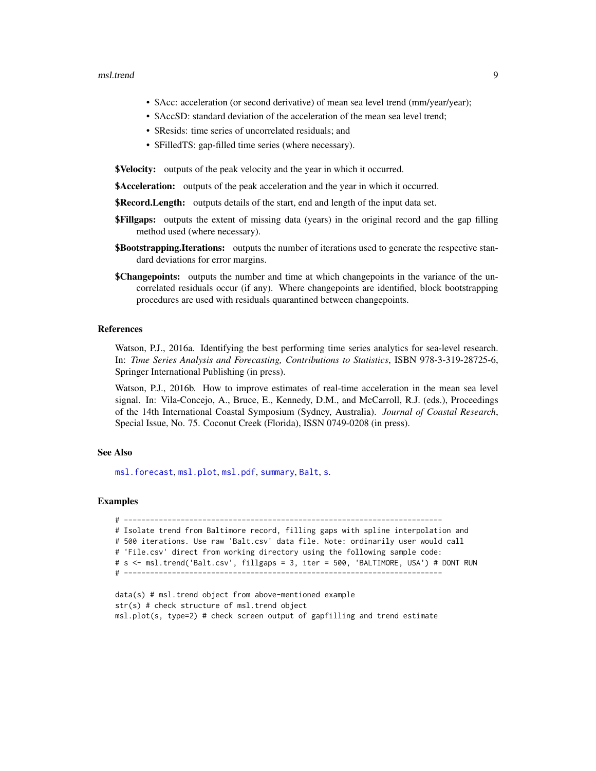#### <span id="page-8-0"></span>msl.trend 9

- \$Acc: acceleration (or second derivative) of mean sea level trend (mm/year/year);
- \$AccSD: standard deviation of the acceleration of the mean sea level trend;
- \$Resids: time series of uncorrelated residuals; and
- \$FilledTS: gap-filled time series (where necessary).

**\$Velocity:** outputs of the peak velocity and the year in which it occurred.

\$Acceleration: outputs of the peak acceleration and the year in which it occurred.

- **\$Record.Length:** outputs details of the start, end and length of the input data set.
- **\$Fillgaps:** outputs the extent of missing data (years) in the original record and the gap filling method used (where necessary).
- **\$Bootstrapping.Iterations:** outputs the number of iterations used to generate the respective standard deviations for error margins.
- **\$Changepoints:** outputs the number and time at which changepoints in the variance of the uncorrelated residuals occur (if any). Where changepoints are identified, block bootstrapping procedures are used with residuals quarantined between changepoints.

#### References

Watson, P.J., 2016a. Identifying the best performing time series analytics for sea-level research. In: *Time Series Analysis and Forecasting, Contributions to Statistics*, ISBN 978-3-319-28725-6, Springer International Publishing (in press).

Watson, P.J., 2016b. How to improve estimates of real-time acceleration in the mean sea level signal. In: Vila-Concejo, A., Bruce, E., Kennedy, D.M., and McCarroll, R.J. (eds.), Proceedings of the 14th International Coastal Symposium (Sydney, Australia). *Journal of Coastal Research*, Special Issue, No. 75. Coconut Creek (Florida), ISSN 0749-0208 (in press).

#### See Also

[msl.forecast](#page-2-1), [msl.plot](#page-5-1), [msl.pdf](#page-3-1), [summary](#page-10-1), [Balt](#page-1-1), [s](#page-9-1).

#### Examples

# ------------------------------------------------------------------------- # Isolate trend from Baltimore record, filling gaps with spline interpolation and # 500 iterations. Use raw 'Balt.csv' data file. Note: ordinarily user would call # 'File.csv' direct from working directory using the following sample code: # s <- msl.trend('Balt.csv', fillgaps = 3, iter = 500, 'BALTIMORE, USA') # DONT RUN # -------------------------------------------------------------------------

```
data(s) # msl.trend object from above-mentioned example
str(s) # check structure of msl.trend object
msl.plot(s, type=2) # check screen output of gapfilling and trend estimate
```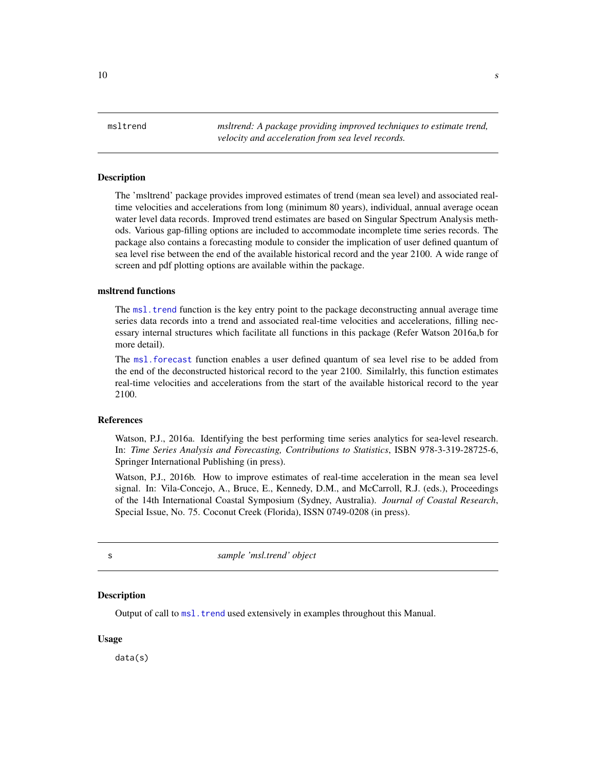<span id="page-9-0"></span>msltrend *msltrend: A package providing improved techniques to estimate trend, velocity and acceleration from sea level records.*

#### Description

The 'msltrend' package provides improved estimates of trend (mean sea level) and associated realtime velocities and accelerations from long (minimum 80 years), individual, annual average ocean water level data records. Improved trend estimates are based on Singular Spectrum Analysis methods. Various gap-filling options are included to accommodate incomplete time series records. The package also contains a forecasting module to consider the implication of user defined quantum of sea level rise between the end of the available historical record and the year 2100. A wide range of screen and pdf plotting options are available within the package.

#### msltrend functions

The [msl.trend](#page-6-1) function is the key entry point to the package deconstructing annual average time series data records into a trend and associated real-time velocities and accelerations, filling necessary internal structures which facilitate all functions in this package (Refer Watson 2016a,b for more detail).

The [msl.forecast](#page-2-1) function enables a user defined quantum of sea level rise to be added from the end of the deconstructed historical record to the year 2100. Similalrly, this function estimates real-time velocities and accelerations from the start of the available historical record to the year 2100.

#### References

Watson, P.J., 2016a. Identifying the best performing time series analytics for sea-level research. In: *Time Series Analysis and Forecasting, Contributions to Statistics*, ISBN 978-3-319-28725-6, Springer International Publishing (in press).

Watson, P.J., 2016b. How to improve estimates of real-time acceleration in the mean sea level signal. In: Vila-Concejo, A., Bruce, E., Kennedy, D.M., and McCarroll, R.J. (eds.), Proceedings of the 14th International Coastal Symposium (Sydney, Australia). *Journal of Coastal Research*, Special Issue, No. 75. Coconut Creek (Florida), ISSN 0749-0208 (in press).

<span id="page-9-1"></span>

s *sample 'msl.trend' object*

#### **Description**

Output of call to [msl.trend](#page-6-1) used extensively in examples throughout this Manual.

#### Usage

data(s)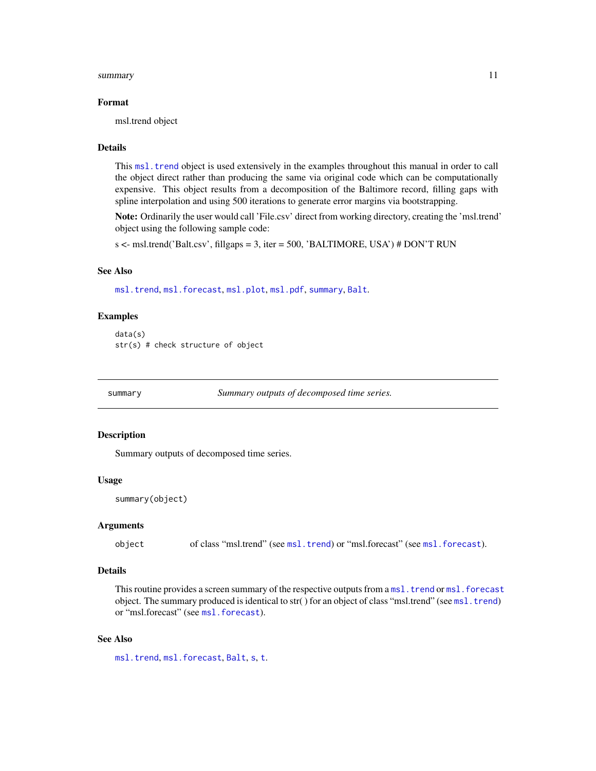#### <span id="page-10-0"></span>summary the contract of the contract of the contract of the contract of the contract of the contract of the contract of the contract of the contract of the contract of the contract of the contract of the contract of the co

#### Format

msl.trend object

#### **Details**

This [msl.trend](#page-6-1) object is used extensively in the examples throughout this manual in order to call the object direct rather than producing the same via original code which can be computationally expensive. This object results from a decomposition of the Baltimore record, filling gaps with spline interpolation and using 500 iterations to generate error margins via bootstrapping.

Note: Ordinarily the user would call 'File.csv' direct from working directory, creating the 'msl.trend' object using the following sample code:

s <- msl.trend('Balt.csv', fillgaps = 3, iter = 500, 'BALTIMORE, USA') # DON'T RUN

#### See Also

[msl.trend](#page-6-1), [msl.forecast](#page-2-1), [msl.plot](#page-5-1), [msl.pdf](#page-3-1), [summary](#page-10-1), [Balt](#page-1-1).

#### Examples

```
data(s)
str(s) # check structure of object
```
<span id="page-10-1"></span>summary *Summary outputs of decomposed time series.*

#### Description

Summary outputs of decomposed time series.

#### Usage

```
summary(object)
```
#### Arguments

object of class "msl.trend" (see [msl.trend](#page-6-1)) or "msl.forecast" (see [msl.forecast](#page-2-1)).

#### Details

This routine provides a screen summary of the respective outputs from a [msl.trend](#page-6-1) or [msl.forecast](#page-2-1) object. The summary produced is identical to str( ) for an object of class "msl.trend" (see [msl.trend](#page-6-1)) or "[msl.forecast](#page-2-1)" (see msl.forecast).

#### See Also

[msl.trend](#page-6-1), [msl.forecast](#page-2-1), [Balt](#page-1-1), [s](#page-9-1), [t](#page-11-1).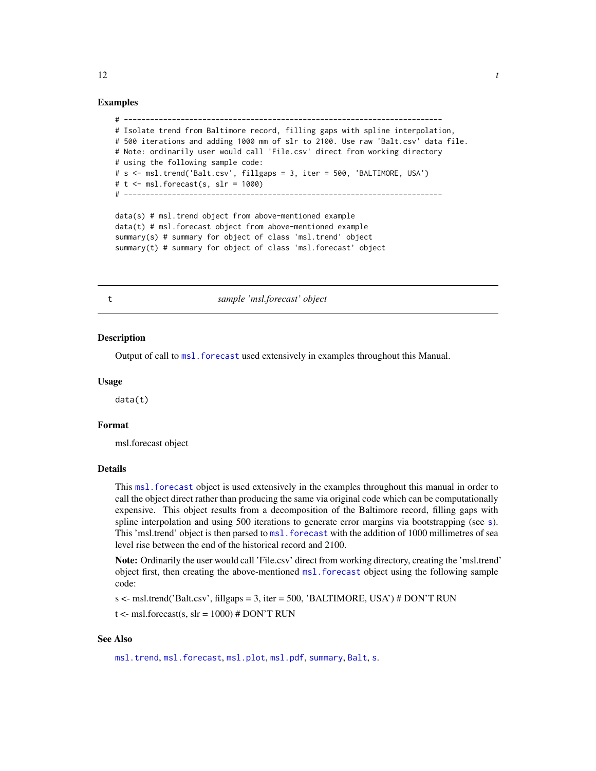```
# -------------------------------------------------------------------------
# Isolate trend from Baltimore record, filling gaps with spline interpolation,
# 500 iterations and adding 1000 mm of slr to 2100. Use raw 'Balt.csv' data file.
# Note: ordinarily user would call 'File.csv' direct from working directory
# using the following sample code:
# s <- msl.trend('Balt.csv', fillgaps = 3, iter = 500, 'BALTIMORE, USA')
# t < - msl.forecast(s, slr = 1000)
# -------------------------------------------------------------------------
```
data(s) # msl.trend object from above-mentioned example data(t) # msl.forecast object from above-mentioned example summary(s) # summary for object of class 'msl.trend' object summary(t) # summary for object of class 'msl.forecast' object

<span id="page-11-1"></span>

t *sample 'msl.forecast' object*

#### **Description**

Output of call to msl. forecast used extensively in examples throughout this Manual.

#### Usage

data(t)

#### Format

msl.forecast object

#### **Details**

This msl. forecast object is used extensively in the examples throughout this manual in order to call the object direct rather than producing the same via original code which can be computationally expensive. This object results from a decomposition of the Baltimore record, filling gaps with [s](#page-9-1)pline interpolation and using 500 iterations to generate error margins via bootstrapping (see s). This 'msl.trend' object is then parsed to msl. forecast with the addition of 1000 millimetres of sea level rise between the end of the historical record and 2100.

Note: Ordinarily the user would call 'File.csv' direct from working directory, creating the 'msl.trend' object first, then creating the above-mentioned [msl.forecast](#page-2-1) object using the following sample code:

s <- msl.trend('Balt.csv', fillgaps = 3, iter = 500, 'BALTIMORE, USA') # DON'T RUN

 $t < -$  msl.forecast(s, slr = 1000) # DON'T RUN

#### See Also

[msl.trend](#page-6-1), [msl.forecast](#page-2-1), [msl.plot](#page-5-1), [msl.pdf](#page-3-1), [summary](#page-10-1), [Balt](#page-1-1), [s](#page-9-1).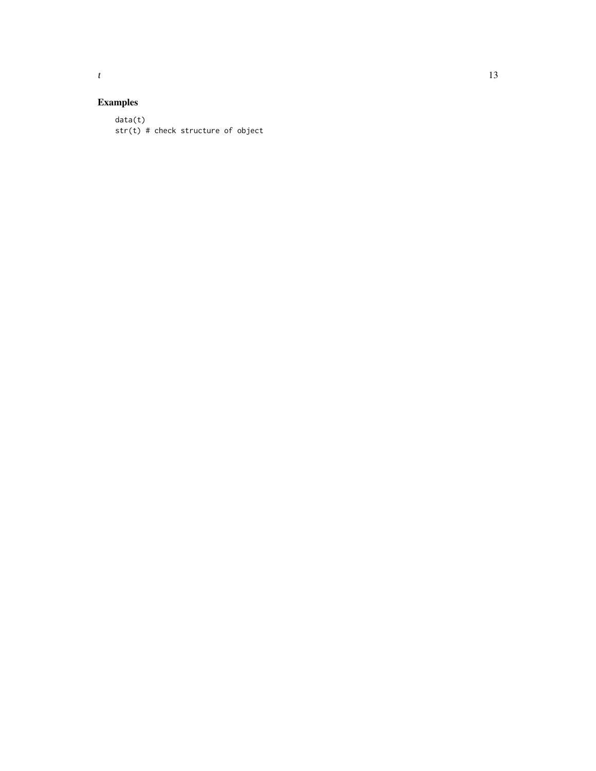## Examples

data(t) str(t) # check structure of object